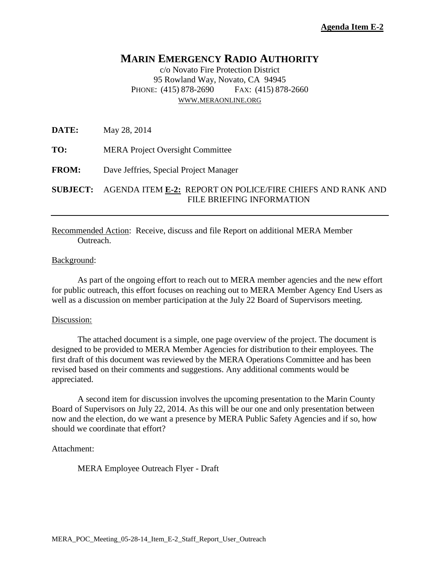# **MARIN EMERGENCY RADIO AUTHORITY**

c/o Novato Fire Protection District 95 Rowland Way, Novato, CA 94945 PHONE: (415) 878-2690 FAX: (415) 878-2660 [WWW.MERAONLINE.ORG](http://www.meraonline.org/)

**DATE:** May 28, 2014

**TO:** MERA Project Oversight Committee

**FROM:** Dave Jeffries, Special Project Manager

**SUBJECT:** AGENDA ITEM **E-2:** REPORT ON POLICE/FIRE CHIEFS AND RANK AND FILE BRIEFING INFORMATION

### Recommended Action: Receive, discuss and file Report on additional MERA Member Outreach.

#### Background:

As part of the ongoing effort to reach out to MERA member agencies and the new effort for public outreach, this effort focuses on reaching out to MERA Member Agency End Users as well as a discussion on member participation at the July 22 Board of Supervisors meeting.

#### Discussion:

The attached document is a simple, one page overview of the project. The document is designed to be provided to MERA Member Agencies for distribution to their employees. The first draft of this document was reviewed by the MERA Operations Committee and has been revised based on their comments and suggestions. Any additional comments would be appreciated.

A second item for discussion involves the upcoming presentation to the Marin County Board of Supervisors on July 22, 2014. As this will be our one and only presentation between now and the election, do we want a presence by MERA Public Safety Agencies and if so, how should we coordinate that effort?

#### Attachment:

MERA Employee Outreach Flyer - Draft